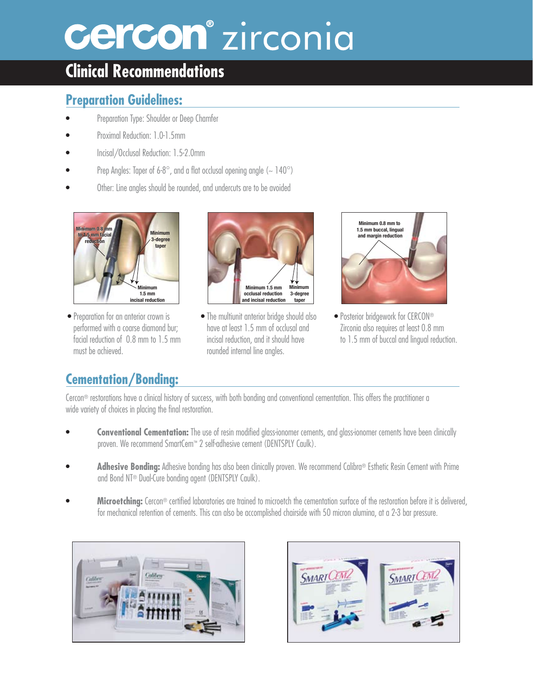# **Cercon**<sup>®</sup> zirconia

## **Clinical Recommendations**

#### **Preparation Guidelines:**

- Preparation Type: Shoulder or Deep Chamfer
- Proximal Reduction: 1.0-1.5mm
- Incisal/Occlusal Reduction: 1.5-2.0mm
- Prep Angles: Taper of 6-8°, and a flat occlusal opening angle ( $\sim$  140°)
- Other: Line angles should be rounded, and undercuts are to be avoided



• Preparation for an anterior crown is performed with a coarse diamond bur; facial reduction of 0.8 mm to 1.5 mm must be achieved.



• The multiunit anterior bridge should also have at least 1.5 mm of occlusal and incisal reduction, and it should have rounded internal line angles.



• Posterior bridgework for CERCON® Zirconia also requires at least 0.8 mm to 1.5 mm of buccal and lingual reduction.

### **Cementation/Bonding:**

Cercon® restorations have a clinical history of success, with both bonding and conventional cementation. This offers the practitioner a wide variety of choices in placing the final restoration.

- **Conventional Cementation:** The use of resin modified glass-ionomer cements, and glass-ionomer cements have been clinically proven. We recommend SmartCem™ 2 self-adhesive cement (DENTSPLY Caulk).
- **Adhesive Bonding:** Adhesive bonding has also been clinically proven. We recommend Calibra® Esthetic Resin Cement with Prime and Bond NT® Dual-Cure bonding agent (DENTSPLY Caulk).
- **Microetching:** Cercon® certified laboratories are trained to microetch the cementation surface of the restoration before it is delivered, for mechanical retention of cements. This can also be accomplished chairside with 50 micron alumina, at a 2-3 bar pressure.